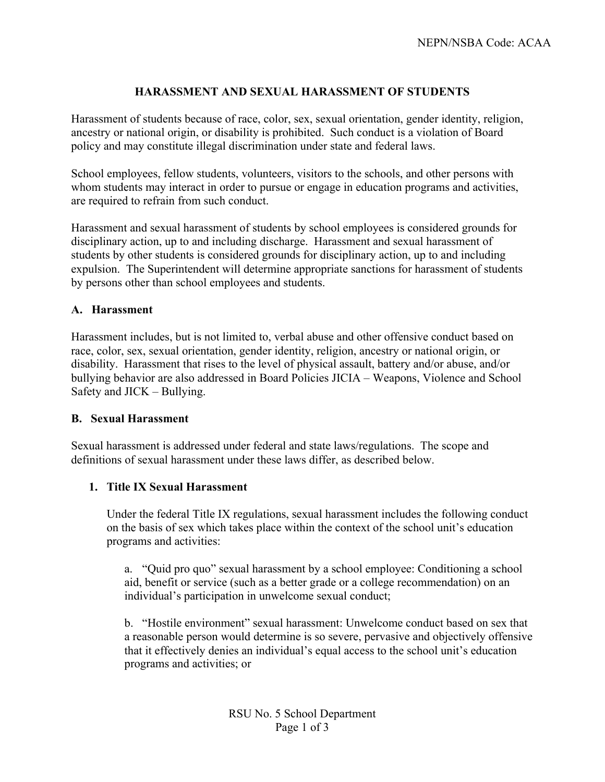# **HARASSMENT AND SEXUAL HARASSMENT OF STUDENTS**

Harassment of students because of race, color, sex, sexual orientation, gender identity, religion, ancestry or national origin, or disability is prohibited. Such conduct is a violation of Board policy and may constitute illegal discrimination under state and federal laws.

School employees, fellow students, volunteers, visitors to the schools, and other persons with whom students may interact in order to pursue or engage in education programs and activities, are required to refrain from such conduct.

Harassment and sexual harassment of students by school employees is considered grounds for disciplinary action, up to and including discharge. Harassment and sexual harassment of students by other students is considered grounds for disciplinary action, up to and including expulsion. The Superintendent will determine appropriate sanctions for harassment of students by persons other than school employees and students.

## **A. Harassment**

Harassment includes, but is not limited to, verbal abuse and other offensive conduct based on race, color, sex, sexual orientation, gender identity, religion, ancestry or national origin, or disability. Harassment that rises to the level of physical assault, battery and/or abuse, and/or bullying behavior are also addressed in Board Policies JICIA – Weapons, Violence and School Safety and JICK – Bullying.

#### **B. Sexual Harassment**

Sexual harassment is addressed under federal and state laws/regulations. The scope and definitions of sexual harassment under these laws differ, as described below.

#### **1. Title IX Sexual Harassment**

Under the federal Title IX regulations, sexual harassment includes the following conduct on the basis of sex which takes place within the context of the school unit's education programs and activities:

a. "Quid pro quo" sexual harassment by a school employee: Conditioning a school aid, benefit or service (such as a better grade or a college recommendation) on an individual's participation in unwelcome sexual conduct;

b. "Hostile environment" sexual harassment: Unwelcome conduct based on sex that a reasonable person would determine is so severe, pervasive and objectively offensive that it effectively denies an individual's equal access to the school unit's education programs and activities; or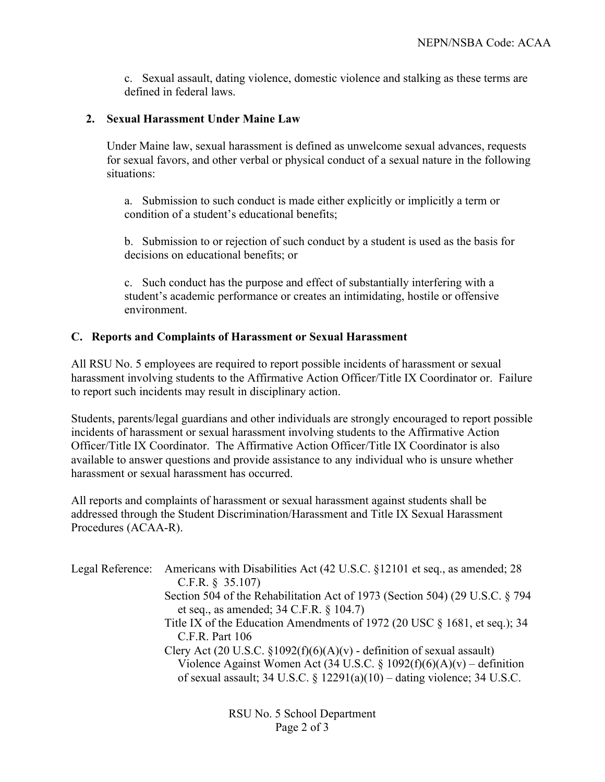c. Sexual assault, dating violence, domestic violence and stalking as these terms are defined in federal laws.

### **2. Sexual Harassment Under Maine Law**

Under Maine law, sexual harassment is defined as unwelcome sexual advances, requests for sexual favors, and other verbal or physical conduct of a sexual nature in the following situations:

a. Submission to such conduct is made either explicitly or implicitly a term or condition of a student's educational benefits;

b. Submission to or rejection of such conduct by a student is used as the basis for decisions on educational benefits; or

c. Such conduct has the purpose and effect of substantially interfering with a student's academic performance or creates an intimidating, hostile or offensive environment.

## **C. Reports and Complaints of Harassment or Sexual Harassment**

All RSU No. 5 employees are required to report possible incidents of harassment or sexual harassment involving students to the Affirmative Action Officer/Title IX Coordinator or. Failure to report such incidents may result in disciplinary action.

Students, parents/legal guardians and other individuals are strongly encouraged to report possible incidents of harassment or sexual harassment involving students to the Affirmative Action Officer/Title IX Coordinator. The Affirmative Action Officer/Title IX Coordinator is also available to answer questions and provide assistance to any individual who is unsure whether harassment or sexual harassment has occurred.

All reports and complaints of harassment or sexual harassment against students shall be addressed through the Student Discrimination/Harassment and Title IX Sexual Harassment Procedures (ACAA-R).

| Legal Reference: | Americans with Disabilities Act (42 U.S.C. §12101 et seq., as amended; 28<br>C.F.R. $§$ 35.107) |
|------------------|-------------------------------------------------------------------------------------------------|
|                  | Section 504 of the Rehabilitation Act of 1973 (Section 504) (29 U.S.C. § 794                    |
|                  | et seq., as amended; $34$ C.F.R. $\S$ 104.7)                                                    |
|                  | Title IX of the Education Amendments of 1972 (20 USC § 1681, et seq.); 34                       |
|                  | $C.F.R.$ Part 106                                                                               |
|                  | Clery Act (20 U.S.C. $\S 1092(f)(6)(A)(v)$ - definition of sexual assault)                      |
|                  | Violence Against Women Act (34 U.S.C. § 1092(f)(6)(A)(v) – definition                           |
|                  | of sexual assault; 34 U.S.C. § $12291(a)(10)$ – dating violence; 34 U.S.C.                      |
|                  |                                                                                                 |
|                  |                                                                                                 |